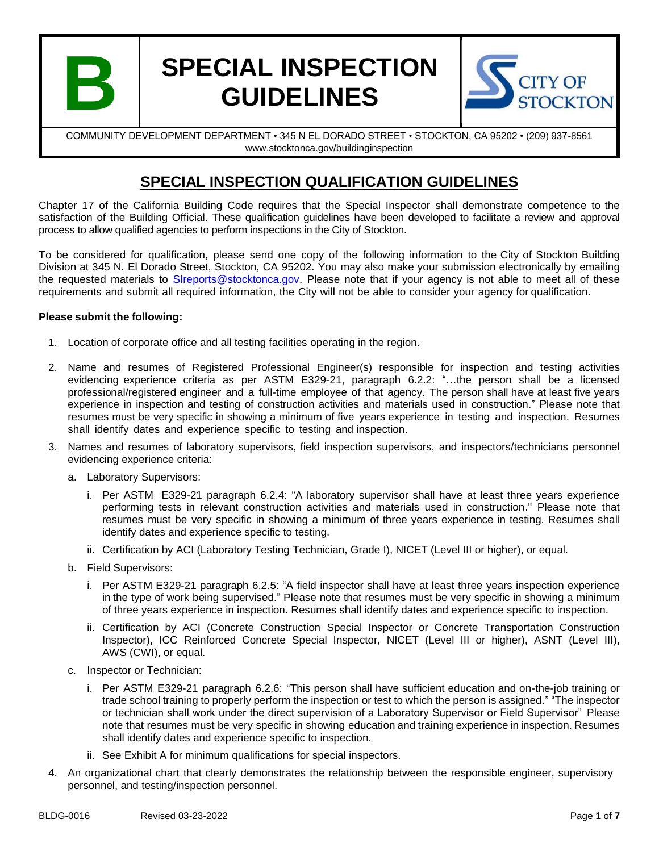

# **SPECIAL INSPECTION GUIDELINES**



COMMUNITY DEVELOPMENT DEPARTMENT • 345 N EL DORADO STREET • STOCKTON, CA 95202 • (209) 937-8561 www.stocktonca.gov/buildinginspection

## **SPECIAL INSPECTION QUALIFICATION GUIDELINES**

Chapter 17 of the California Building Code requires that the Special Inspector shall demonstrate competence to the satisfaction of the Building Official. These qualification guidelines have been developed to facilitate a review and approval process to allow qualified agencies to perform inspections in the City of Stockton.

To be considered for qualification, please send one copy of the following information to the City of Stockton Building Division at 345 N. El Dorado Street, Stockton, CA 95202. You may also make your submission electronically by emailing the requested materials to [SIreports@stocktonca.gov.](mailto:SIreports@stocktonca.gov) Please note that if your agency is not able to meet all of these requirements and submit all required information, the City will not be able to consider your agency for qualification.

#### **Please submit the following:**

- 1. Location of corporate office and all testing facilities operating in the region.
- 2. Name and resumes of Registered Professional Engineer(s) responsible for inspection and testing activities evidencing experience criteria as per ASTM E329-21, paragraph 6.2.2: "…the person shall be a licensed professional/registered engineer and a full-time employee of that agency. The person shall have at least five years experience in inspection and testing of construction activities and materials used in construction." Please note that resumes must be very specific in showing a minimum of five years experience in testing and inspection. Resumes shall identify dates and experience specific to testing and inspection.
- 3. Names and resumes of laboratory supervisors, field inspection supervisors, and inspectors/technicians personnel evidencing experience criteria:
	- a. Laboratory Supervisors:
		- i. Per ASTM E329-21 paragraph 6.2.4: "A laboratory supervisor shall have at least three years experience performing tests in relevant construction activities and materials used in construction." Please note that resumes must be very specific in showing a minimum of three years experience in testing. Resumes shall identify dates and experience specific to testing.
		- ii. Certification by ACI (Laboratory Testing Technician, Grade I), NICET (Level III or higher), or equal.
	- b. Field Supervisors:
		- i. Per ASTM E329-21 paragraph 6.2.5: "A field inspector shall have at least three years inspection experience in the type of work being supervised." Please note that resumes must be very specific in showing a minimum of three years experience in inspection. Resumes shall identify dates and experience specific to inspection.
		- ii. Certification by ACI (Concrete Construction Special Inspector or Concrete Transportation Construction Inspector), ICC Reinforced Concrete Special Inspector, NICET (Level III or higher), ASNT (Level III), AWS (CWI), or equal.
	- c. Inspector or Technician:
		- i. Per ASTM E329-21 paragraph 6.2.6: "This person shall have sufficient education and on-the-job training or trade school training to properly perform the inspection or test to which the person is assigned." "The inspector or technician shall work under the direct supervision of a Laboratory Supervisor or Field Supervisor" Please note that resumes must be very specific in showing education and training experience in inspection. Resumes shall identify dates and experience specific to inspection.
		- ii. See Exhibit A for minimum qualifications for special inspectors.
- 4. An organizational chart that clearly demonstrates the relationship between the responsible engineer, supervisory personnel, and testing/inspection personnel.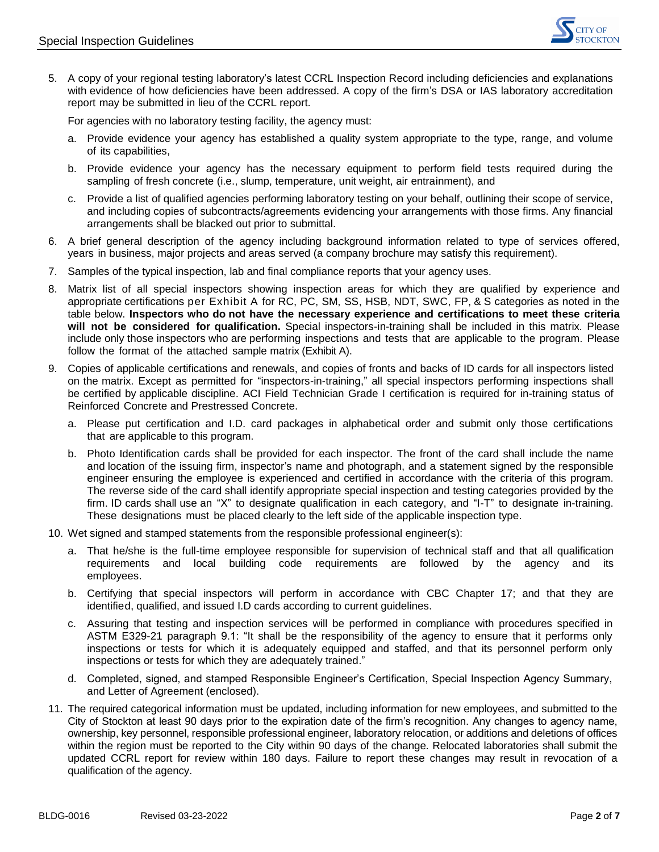

5. A copy of your regional testing laboratory's latest CCRL Inspection Record including deficiencies and explanations with evidence of how deficiencies have been addressed. A copy of the firm's DSA or IAS laboratory accreditation report may be submitted in lieu of the CCRL report.

For agencies with no laboratory testing facility, the agency must:

- a. Provide evidence your agency has established a quality system appropriate to the type, range, and volume of its capabilities,
- b. Provide evidence your agency has the necessary equipment to perform field tests required during the sampling of fresh concrete (i.e., slump, temperature, unit weight, air entrainment), and
- c. Provide a list of qualified agencies performing laboratory testing on your behalf, outlining their scope of service, and including copies of subcontracts/agreements evidencing your arrangements with those firms. Any financial arrangements shall be blacked out prior to submittal.
- 6. A brief general description of the agency including background information related to type of services offered, years in business, major projects and areas served (a company brochure may satisfy this requirement).
- 7. Samples of the typical inspection, lab and final compliance reports that your agency uses.
- 8. Matrix list of all special inspectors showing inspection areas for which they are qualified by experience and appropriate certifications per Exhibit A for RC, PC, SM, SS, HSB, NDT, SWC, FP, & S categories as noted in the table below. **Inspectors who do not have the necessary experience and certifications to meet these criteria will not be considered for qualification.** Special inspectors-in-training shall be included in this matrix. Please include only those inspectors who are performing inspections and tests that are applicable to the program. Please follow the format of the attached sample matrix (Exhibit A).
- 9. Copies of applicable certifications and renewals, and copies of fronts and backs of ID cards for all inspectors listed on the matrix. Except as permitted for "inspectors-in-training," all special inspectors performing inspections shall be certified by applicable discipline. ACI Field Technician Grade I certification is required for in-training status of Reinforced Concrete and Prestressed Concrete.
	- a. Please put certification and I.D. card packages in alphabetical order and submit only those certifications that are applicable to this program.
	- b. Photo Identification cards shall be provided for each inspector. The front of the card shall include the name and location of the issuing firm, inspector's name and photograph, and a statement signed by the responsible engineer ensuring the employee is experienced and certified in accordance with the criteria of this program. The reverse side of the card shall identify appropriate special inspection and testing categories provided by the firm. ID cards shall use an "X" to designate qualification in each category, and "I-T" to designate in-training. These designations must be placed clearly to the left side of the applicable inspection type.
- 10. Wet signed and stamped statements from the responsible professional engineer(s):
	- a. That he/she is the full-time employee responsible for supervision of technical staff and that all qualification requirements and local building code requirements are followed by the agency and its employees.
	- b. Certifying that special inspectors will perform in accordance with CBC Chapter 17; and that they are identified, qualified, and issued I.D cards according to current guidelines.
	- c. Assuring that testing and inspection services will be performed in compliance with procedures specified in ASTM E329-21 paragraph 9.1: "It shall be the responsibility of the agency to ensure that it performs only inspections or tests for which it is adequately equipped and staffed, and that its personnel perform only inspections or tests for which they are adequately trained."
	- d. Completed, signed, and stamped Responsible Engineer's Certification, Special Inspection Agency Summary, and Letter of Agreement (enclosed).
- 11. The required categorical information must be updated, including information for new employees, and submitted to the City of Stockton at least 90 days prior to the expiration date of the firm's recognition. Any changes to agency name, ownership, key personnel, responsible professional engineer, laboratory relocation, or additions and deletions of offices within the region must be reported to the City within 90 days of the change. Relocated laboratories shall submit the updated CCRL report for review within 180 days. Failure to report these changes may result in revocation of a qualification of the agency.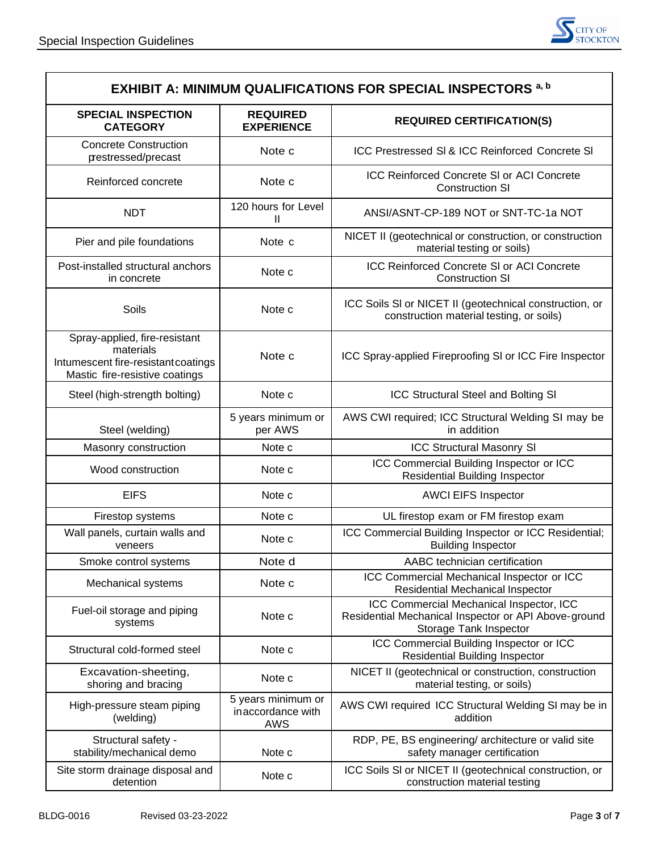

| <b>EXHIBIT A: MINIMUM QUALIFICATIONS FOR SPECIAL INSPECTORS a, b</b>                                                |                                                       |                                                                                                                            |  |  |  |  |
|---------------------------------------------------------------------------------------------------------------------|-------------------------------------------------------|----------------------------------------------------------------------------------------------------------------------------|--|--|--|--|
| <b>SPECIAL INSPECTION</b><br><b>CATEGORY</b>                                                                        | <b>REQUIRED</b><br><b>EXPERIENCE</b>                  | <b>REQUIRED CERTIFICATION(S)</b>                                                                                           |  |  |  |  |
| <b>Concrete Construction</b><br>prestressed/precast                                                                 | Note c                                                | ICC Prestressed SI & ICC Reinforced Concrete SI                                                                            |  |  |  |  |
| Reinforced concrete                                                                                                 | Note c                                                | <b>ICC Reinforced Concrete SI or ACI Concrete</b><br><b>Construction SI</b>                                                |  |  |  |  |
| <b>NDT</b>                                                                                                          | 120 hours for Level<br>Ш                              | ANSI/ASNT-CP-189 NOT or SNT-TC-1a NOT                                                                                      |  |  |  |  |
| Pier and pile foundations                                                                                           | Note c                                                | NICET II (geotechnical or construction, or construction<br>material testing or soils)                                      |  |  |  |  |
| Post-installed structural anchors<br>in concrete                                                                    | Note c                                                | ICC Reinforced Concrete SI or ACI Concrete<br><b>Construction SI</b>                                                       |  |  |  |  |
| Soils                                                                                                               | Note c                                                | ICC Soils SI or NICET II (geotechnical construction, or<br>construction material testing, or soils)                        |  |  |  |  |
| Spray-applied, fire-resistant<br>materials<br>Intumescent fire-resistant coatings<br>Mastic fire-resistive coatings | Note c                                                | ICC Spray-applied Fireproofing SI or ICC Fire Inspector                                                                    |  |  |  |  |
| Steel (high-strength bolting)                                                                                       | Note c                                                | ICC Structural Steel and Bolting SI                                                                                        |  |  |  |  |
| Steel (welding)                                                                                                     | 5 years minimum or<br>per AWS                         | AWS CWI required; ICC Structural Welding SI may be<br>in addition                                                          |  |  |  |  |
| Masonry construction                                                                                                | Note c                                                | <b>ICC Structural Masonry SI</b>                                                                                           |  |  |  |  |
| Wood construction                                                                                                   | Note c                                                | ICC Commercial Building Inspector or ICC<br><b>Residential Building Inspector</b>                                          |  |  |  |  |
| <b>EIFS</b>                                                                                                         | Note c                                                | <b>AWCI EIFS Inspector</b>                                                                                                 |  |  |  |  |
| Firestop systems                                                                                                    | Note c                                                | UL firestop exam or FM firestop exam                                                                                       |  |  |  |  |
| Wall panels, curtain walls and<br>veneers                                                                           | Note c                                                | ICC Commercial Building Inspector or ICC Residential;<br><b>Building Inspector</b>                                         |  |  |  |  |
| Smoke control systems                                                                                               | Note d                                                | AABC technician certification                                                                                              |  |  |  |  |
| Mechanical systems                                                                                                  | Note c                                                | ICC Commercial Mechanical Inspector or ICC<br>Residential Mechanical Inspector                                             |  |  |  |  |
| Fuel-oil storage and piping<br>systems                                                                              | Note c                                                | ICC Commercial Mechanical Inspector, ICC<br>Residential Mechanical Inspector or API Above-ground<br>Storage Tank Inspector |  |  |  |  |
| Structural cold-formed steel                                                                                        | Note c                                                | ICC Commercial Building Inspector or ICC<br><b>Residential Building Inspector</b>                                          |  |  |  |  |
| Excavation-sheeting,<br>shoring and bracing                                                                         | Note c                                                | NICET II (geotechnical or construction, construction<br>material testing, or soils)                                        |  |  |  |  |
| High-pressure steam piping<br>(welding)                                                                             | 5 years minimum or<br>inaccordance with<br><b>AWS</b> | AWS CWI required ICC Structural Welding SI may be in<br>addition                                                           |  |  |  |  |
| Structural safety -<br>stability/mechanical demo                                                                    | Note c                                                | RDP, PE, BS engineering/ architecture or valid site<br>safety manager certification                                        |  |  |  |  |
| Site storm drainage disposal and<br>Note c<br>detention                                                             |                                                       | ICC Soils SI or NICET II (geotechnical construction, or<br>construction material testing                                   |  |  |  |  |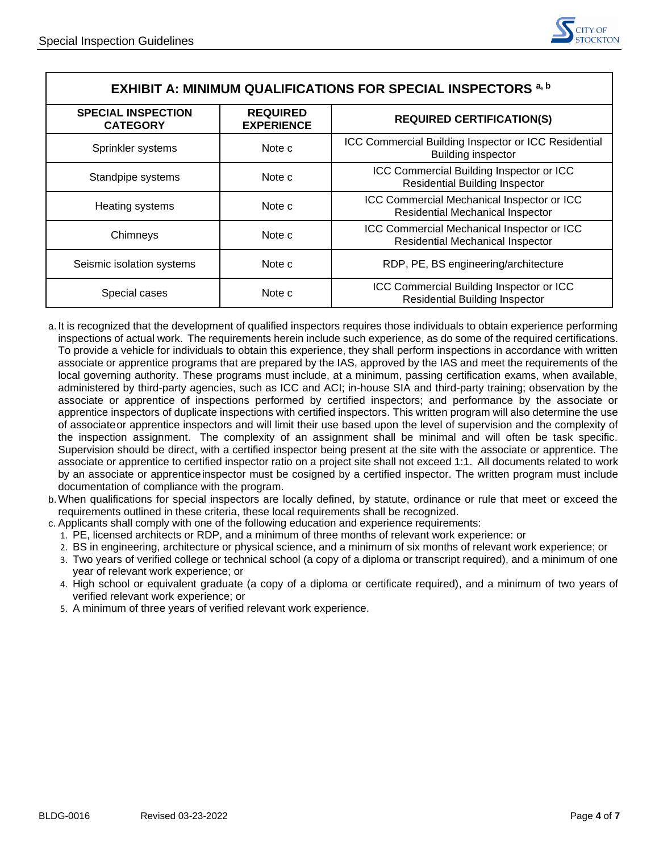| <b>EXHIBIT A: MINIMUM QUALIFICATIONS FOR SPECIAL INSPECTORS a, b</b> |                                      |                                                                                       |  |  |  |
|----------------------------------------------------------------------|--------------------------------------|---------------------------------------------------------------------------------------|--|--|--|
| <b>SPECIAL INSPECTION</b><br><b>CATEGORY</b>                         | <b>REQUIRED</b><br><b>EXPERIENCE</b> | <b>REQUIRED CERTIFICATION(S)</b>                                                      |  |  |  |
| Sprinkler systems                                                    | Note c                               | ICC Commercial Building Inspector or ICC Residential<br><b>Building inspector</b>     |  |  |  |
| Standpipe systems                                                    | Note c                               | ICC Commercial Building Inspector or ICC<br><b>Residential Building Inspector</b>     |  |  |  |
| Heating systems                                                      | Note c                               | ICC Commercial Mechanical Inspector or ICC<br>Residential Mechanical Inspector        |  |  |  |
| Chimneys                                                             | Note c                               | ICC Commercial Mechanical Inspector or ICC<br><b>Residential Mechanical Inspector</b> |  |  |  |
| Seismic isolation systems                                            | Note c                               | RDP, PE, BS engineering/architecture                                                  |  |  |  |
| Note c<br>Special cases                                              |                                      | ICC Commercial Building Inspector or ICC<br><b>Residential Building Inspector</b>     |  |  |  |

- a. It is recognized that the development of qualified inspectors requires those individuals to obtain experience performing inspections of actual work. The requirements herein include such experience, as do some of the required certifications. To provide a vehicle for individuals to obtain this experience, they shall perform inspections in accordance with written associate or apprentice programs that are prepared by the IAS, approved by the IAS and meet the requirements of the local governing authority. These programs must include, at a minimum, passing certification exams, when available, administered by third-party agencies, such as ICC and ACI; in-house SIA and third-party training; observation by the associate or apprentice of inspections performed by certified inspectors; and performance by the associate or apprentice inspectors of duplicate inspections with certified inspectors. This written program will also determine the use of associateor apprentice inspectors and will limit their use based upon the level of supervision and the complexity of the inspection assignment. The complexity of an assignment shall be minimal and will often be task specific. Supervision should be direct, with a certified inspector being present at the site with the associate or apprentice. The associate or apprentice to certified inspector ratio on a project site shall not exceed 1:1. All documents related to work by an associate or apprenticeinspector must be cosigned by a certified inspector. The written program must include documentation of compliance with the program.
- b.When qualifications for special inspectors are locally defined, by statute, ordinance or rule that meet or exceed the requirements outlined in these criteria, these local requirements shall be recognized.
- c. Applicants shall comply with one of the following education and experience requirements:
	- 1. PE, licensed architects or RDP, and a minimum of three months of relevant work experience: or
	- 2. BS in engineering, architecture or physical science, and a minimum of six months of relevant work experience; or
	- 3. Two years of verified college or technical school (a copy of a diploma or transcript required), and a minimum of one year of relevant work experience; or
	- 4. High school or equivalent graduate (a copy of a diploma or certificate required), and a minimum of two years of verified relevant work experience; or
	- 5. A minimum of three years of verified relevant work experience.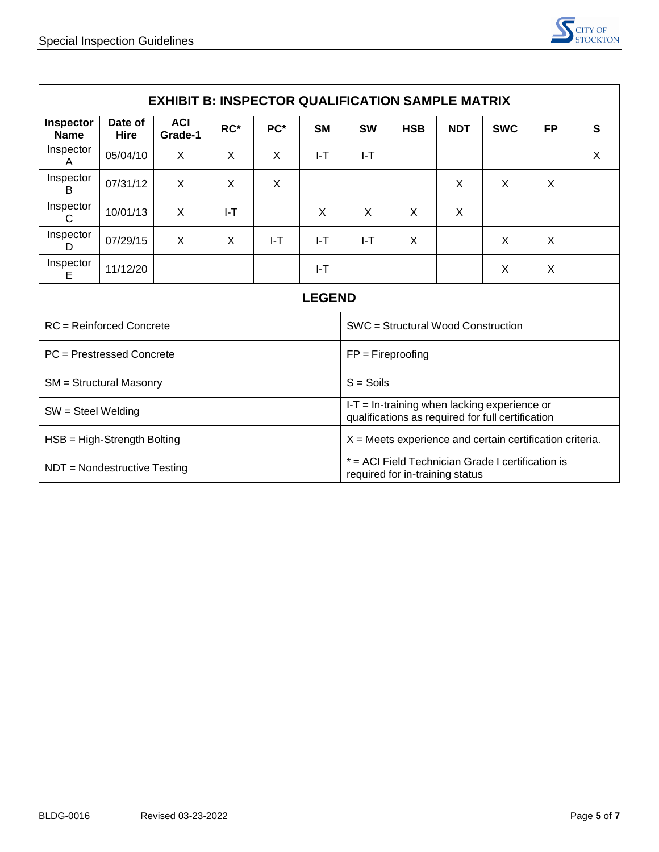

| <b>EXHIBIT B: INSPECTOR QUALIFICATION SAMPLE MATRIX</b> |                 |                       |          |     |                                                                                                     |           |            |            |            |           |   |
|---------------------------------------------------------|-----------------|-----------------------|----------|-----|-----------------------------------------------------------------------------------------------------|-----------|------------|------------|------------|-----------|---|
| Inspector<br><b>Name</b>                                | Date of<br>Hire | <b>ACI</b><br>Grade-1 | $RC*$    | PC* | <b>SM</b>                                                                                           | <b>SW</b> | <b>HSB</b> | <b>NDT</b> | <b>SWC</b> | <b>FP</b> | S |
| Inspector<br>A                                          | 05/04/10        | X                     | X        | X   | I-T                                                                                                 | I-T       |            |            |            |           | X |
| Inspector<br>B                                          | 07/31/12        | X                     | X        | X   |                                                                                                     |           |            | X          | X          | X         |   |
| Inspector<br>C                                          | 10/01/13        | X                     | $I-T$    |     | X                                                                                                   | X         | X          | X          |            |           |   |
| Inspector<br>D                                          | 07/29/15        | X                     | $\times$ | I-T | I-T                                                                                                 | I-T       | X          |            | X          | X         |   |
| Inspector<br>Е                                          | 11/12/20        |                       |          |     | $I-T$                                                                                               |           |            |            | X          | X         |   |
| <b>LEGEND</b>                                           |                 |                       |          |     |                                                                                                     |           |            |            |            |           |   |
| <b>RC</b> = Reinforced Concrete                         |                 |                       |          |     | SWC = Structural Wood Construction                                                                  |           |            |            |            |           |   |
| PC = Prestressed Concrete                               |                 |                       |          |     | $FP = Fireproofing$                                                                                 |           |            |            |            |           |   |
| <b>SM</b> = Structural Masonry                          |                 |                       |          |     | $S =$ Soils                                                                                         |           |            |            |            |           |   |
| $SW = Steel Welding$                                    |                 |                       |          |     | $I-T = In-training when lacking experience or$<br>qualifications as required for full certification |           |            |            |            |           |   |
| HSB = High-Strength Bolting                             |                 |                       |          |     | $X =$ Meets experience and certain certification criteria.                                          |           |            |            |            |           |   |
| NDT = Nondestructive Testing                            |                 |                       |          |     | * = ACI Field Technician Grade I certification is<br>required for in-training status                |           |            |            |            |           |   |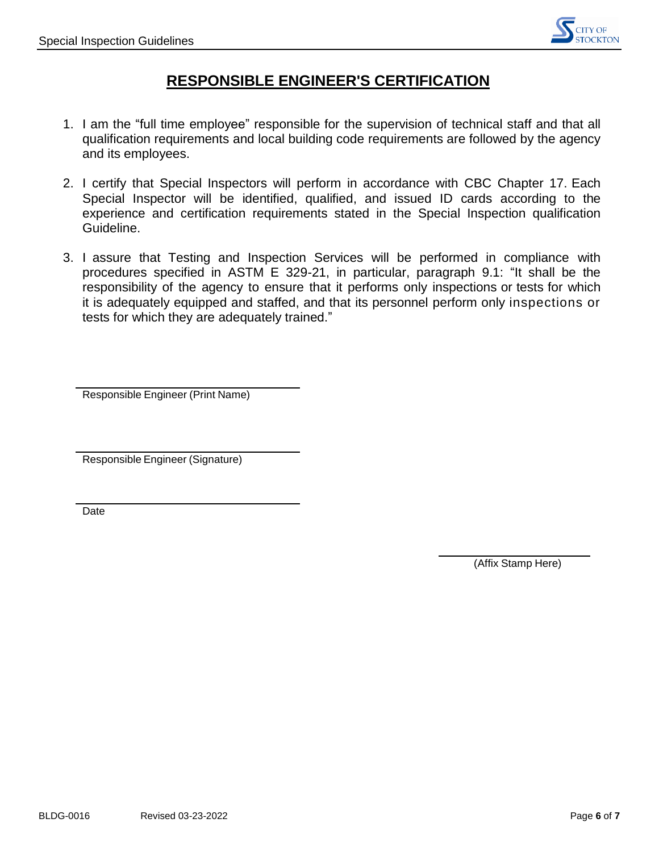

### **RESPONSIBLE ENGINEER'S CERTIFICATION**

- 1. I am the "full time employee" responsible for the supervision of technical staff and that all qualification requirements and local building code requirements are followed by the agency and its employees.
- 2. I certify that Special Inspectors will perform in accordance with CBC Chapter 17. Each Special Inspector will be identified, qualified, and issued ID cards according to the experience and certification requirements stated in the Special Inspection qualification Guideline.
- 3. I assure that Testing and Inspection Services will be performed in compliance with procedures specified in ASTM E 329-21, in particular, paragraph 9.1: "It shall be the responsibility of the agency to ensure that it performs only inspections or tests for which it is adequately equipped and staffed, and that its personnel perform only inspections or tests for which they are adequately trained."

Responsible Engineer (Print Name)

Responsible Engineer (Signature)

Date

(Affix Stamp Here)